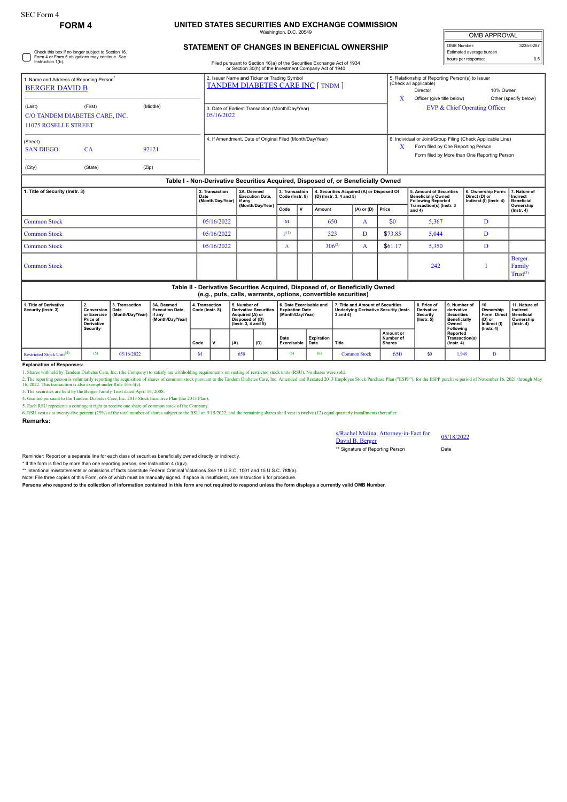Check this box if no longer subject to Section 16. Form 4 or Form 5 obligations may continue. *See* Instruction 1(b).

## **FORM 4 UNITED STATES SECURITIES AND EXCHANGE COMMISSION**

Washington, D.C. 20549

| <b>OMB APPROVAL</b>      |           |
|--------------------------|-----------|
| OMB Number:              | 3235-0287 |
| Estimated average burden |           |
| hours per response:      | 0.5       |

## **STATEMENT OF CHANGES IN BENEFICIAL OWNERSHIP**

Filed pursuant to Section 16(a) of the Securities Exchange Act of 1934 or Section 30(h) of the Investment Company Act of 1940

|                                                                                                |  |  | or Section 30(h) of the Investment Company Act of 1940                                  |                                                                                                                                                                 |  |  |  |  |  |  |
|------------------------------------------------------------------------------------------------|--|--|-----------------------------------------------------------------------------------------|-----------------------------------------------------------------------------------------------------------------------------------------------------------------|--|--|--|--|--|--|
| 1. Name and Address of Reporting Person <sup>*</sup><br><b>BERGER DAVID B</b>                  |  |  | 2. Issuer Name and Ticker or Trading Symbol<br><b>TANDEM DIABETES CARE INC [ TNDM ]</b> | 5. Relationship of Reporting Person(s) to Issuer<br>(Check all applicable)<br>10% Owner<br>Director<br>x<br>Officer (give title below)<br>Other (specify below) |  |  |  |  |  |  |
| (First)<br>(Middle)<br>(Last)<br>C/O TANDEM DIABETES CARE, INC.<br><b>11075 ROSELLE STREET</b> |  |  | 3. Date of Earliest Transaction (Month/Day/Year)<br>05/16/2022                          | EVP & Chief Operating Officer                                                                                                                                   |  |  |  |  |  |  |
| (Street)<br><b>SAN DIEGO</b><br>92121<br><b>CA</b><br>(City)<br>(State)<br>(Zip)               |  |  | 4. If Amendment, Date of Original Filed (Month/Day/Year)                                | 6. Individual or Joint/Group Filing (Check Applicable Line)<br>X<br>Form filed by One Reporting Person<br>Form filed by More than One Reporting Person          |  |  |  |  |  |  |
| Table I - Non-Derivative Securities Acquired, Disposed of, or Beneficially Owned               |  |  |                                                                                         |                                                                                                                                                                 |  |  |  |  |  |  |

| 1. Title of Security (Instr. 3)                                                                                                                 | 2. Transaction<br>Date<br>(Month/Day/Year) | 2A. Deemed<br><b>Execution Date.</b><br>l if any<br>(Month/Day/Year) | 3. Transaction<br>Code (Instr. 8) |             | 4. Securities Acquired (A) or Disposed Of<br>(D) (Instr. 3, 4 and 5) |                  |         | <b>5. Amount of Securities</b><br><b>Beneficially Owned</b><br><b>Following Reported</b> | 6. Ownership Form:<br>Direct (D) or<br>Indirect (I) (Instr. 4) | 7. Nature of<br>Indirect<br><b>Beneficial</b> |
|-------------------------------------------------------------------------------------------------------------------------------------------------|--------------------------------------------|----------------------------------------------------------------------|-----------------------------------|-------------|----------------------------------------------------------------------|------------------|---------|------------------------------------------------------------------------------------------|----------------------------------------------------------------|-----------------------------------------------|
|                                                                                                                                                 |                                            |                                                                      | Code                              | $\mathbf v$ | Amount                                                               | (A) or (D) Price |         | Transaction(s) (Instr. 3<br>and $4)$                                                     |                                                                | Ownership<br>$($ lnstr. 4 $)$                 |
| <b>Common Stock</b>                                                                                                                             | 05/16/2022                                 |                                                                      | M                                 |             | 650                                                                  | A                | \$0     | 5,367                                                                                    |                                                                |                                               |
| <b>Common Stock</b>                                                                                                                             | 05/16/2022                                 |                                                                      | E(1)                              |             | 323                                                                  | D                | \$73.85 | 5,044                                                                                    | D                                                              |                                               |
| <b>Common Stock</b>                                                                                                                             | 05/16/2022                                 |                                                                      | n                                 |             | $306^{(2)}$                                                          | $\mathbf{A}$     | \$61.17 | 5,350                                                                                    | D                                                              |                                               |
| <b>Common Stock</b>                                                                                                                             |                                            |                                                                      |                                   |             |                                                                      |                  |         | 242                                                                                      |                                                                | <b>Berger</b><br>Family<br>$Trust^{(3)}$      |
| Table II - Derivative Securities Acquired, Disposed of, or Beneficially Owned<br>(e.g., puts, calls, warrants, options, convertible securities) |                                            |                                                                      |                                   |             |                                                                      |                  |         |                                                                                          |                                                                |                                               |

| 1. Title of Derivative<br>Security (Instr. 3) | Conversion<br>or Exercise<br>Price of<br>Derivative<br><b>Security</b> | 3. Transaction<br>Date<br>Month/Dav/Year) I if any | 3A. Deemed<br><b>Execution Date.</b><br>(Month/Dav/Year) | 4. Transaction<br>Code (Instr. 8) |  | 5. Number of<br><b>Derivative Securities</b><br>Acquired (A) or<br>Disposed of (D)<br>$($ lnstr. 3. 4 and 5 $)$ |     | 6. Date Exercisable and<br>Expiration Date<br>(Month/Dav/Year) |                    | 7. Title and Amount of Securities<br>Underlying Derivative Security (Instr.<br>3 and 4) |                                                | 8. Price of<br><b>Derivative</b><br><b>Security</b><br>$($ lnstr $, 5)$ | 9. Number of<br>derivative<br><b>Securities</b><br><b>Beneficially</b><br>Owned | 10.<br>Ownership<br><b>Form: Direct</b><br>$(D)$ or<br>Indirect (I) | 11. Nature of<br>Indirect<br><b>Beneficial</b><br>Ownership<br>$($ lnstr. 4 $)$ |
|-----------------------------------------------|------------------------------------------------------------------------|----------------------------------------------------|----------------------------------------------------------|-----------------------------------|--|-----------------------------------------------------------------------------------------------------------------|-----|----------------------------------------------------------------|--------------------|-----------------------------------------------------------------------------------------|------------------------------------------------|-------------------------------------------------------------------------|---------------------------------------------------------------------------------|---------------------------------------------------------------------|---------------------------------------------------------------------------------|
|                                               |                                                                        |                                                    |                                                          | Code                              |  | (A)                                                                                                             | (D) | Date<br><b>Exercisable</b>                                     | Expiration<br>Date | Title                                                                                   | <b>Amount or</b><br>Number of<br><b>Shares</b> |                                                                         | Following<br>Reported<br>Transaction(s)<br>$($ lnstr, 4 $)$                     | $($ lnstr. 4 $)$                                                    |                                                                                 |
| Restricted Stock Unit <sup>(4)</sup>          |                                                                        | 05/16/2022                                         |                                                          |                                   |  | 650                                                                                                             |     |                                                                |                    | <b>Common Stock</b>                                                                     | 650                                            | \$0                                                                     | .949                                                                            |                                                                     |                                                                                 |

**Explanation of Responses:**

1. Shares withheld by Tandem Diabetes Care, Inc. (the Company) to satisfy tax withholding requirements on vesting of restricted stock units (RSU). No shares were sold.

2. The reporting person is voluntarily reporting the acquisition of shares of common stock pursuant to the Tandem Diabetes Care, Inc. Amended and Restated 2013 Employee Stock Purchase Plan ("ESPP"), for the ESPP purchase p

3. The securities are held by the Berger Family Trust dated April 16, 2008. 4. Granted pursuant to the Tandem Diabetes Care, Inc. 2013 Stock Incentive Plan (the 2013 Plan).

5. Each RSU represents a contingent right to receive one share of common stock of the Company.<br>6. RSU vest as to twenty-five percent (25%) of the total number of shares subject to the RSU on 5/15/2022, and the remaining sh

**Remarks:**

s/Rachel Malina, Attorney-in-Fact for David B. Berger 05/18/2022

\*\* Signature of Reporting Person Date

Reminder: Report on a separate line for each class of securities beneficially owned directly or indirectly.

\* If the form is filed by more than one reporting person, *see* Instruction 4 (b)(v).

\*\* Intentional misstatements or omissions of facts constitute Federal Criminal Violations *See* 18 U.S.C. 1001 and 15 U.S.C. 78ff(a). Note: File three copies of this Form, one of which must be manually signed. If space is insufficient, *see* Instruction 6 for procedure.

**Persons who respond to the collection of information contained in this form are not required to respond unless the form displays a currently valid OMB Number.**